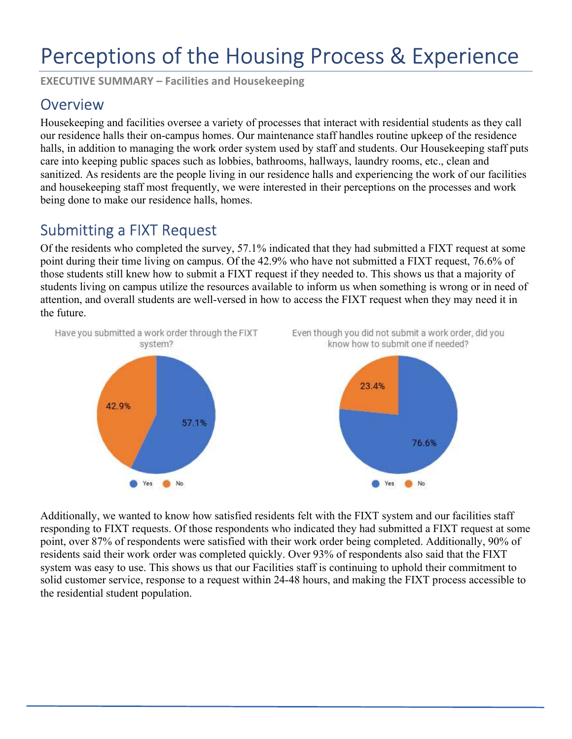## Perceptions of the Housing Process & Experience

EXECUTIVE SUMMARY – Facilities and Housekeeping

## **Overview**

Housekeeping and facilities oversee a variety of processes that interact with residential students as they call our residence halls their on-campus homes. Our maintenance staff handles routine upkeep of the residence halls, in addition to managing the work order system used by staff and students. Our Housekeeping staff puts care into keeping public spaces such as lobbies, bathrooms, hallways, laundry rooms, etc., clean and sanitized. As residents are the people living in our residence halls and experiencing the work of our facilities and housekeeping staff most frequently, we were interested in their perceptions on the processes and work being done to make our residence halls, homes.

## Submitting a FIXT Request

Of the residents who completed the survey, 57.1% indicated that they had submitted a FIXT request at some point during their time living on campus. Of the 42.9% who have not submitted a FIXT request, 76.6% of those students still knew how to submit a FIXT request if they needed to. This shows us that a majority of students living on campus utilize the resources available to inform us when something is wrong or in need of attention, and overall students are well-versed in how to access the FIXT request when they may need it in the future.



Additionally, we wanted to know how satisfied residents felt with the FIXT system and our facilities staff responding to FIXT requests. Of those respondents who indicated they had submitted a FIXT request at some point, over 87% of respondents were satisfied with their work order being completed. Additionally, 90% of residents said their work order was completed quickly. Over 93% of respondents also said that the FIXT system was easy to use. This shows us that our Facilities staff is continuing to uphold their commitment to solid customer service, response to a request within 24-48 hours, and making the FIXT process accessible to the residential student population.